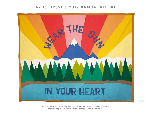## **ARTIST TRUST || 2019 ANNUAL REPORT**



*Wear the sun in your heart***, Joey Veltkamp, 72"x96", 2019. Photo: Courtesy of the artist. Joey Veltkamp is a 2019 Artist Trust GAP recipient from Bremerton, WA.**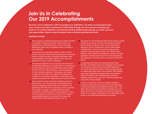# **Join Us in Celebrating Our 2019 Accomplishments**

**We have a lot to celebrate! In 2019 we granted over \$320,000 to 116 artists of all disciplines from every corner of our state, reached over 2,000 artists through over 60 in-person workshops and events in 13 counties statewide, and reached another 46,000 people through our online resources and opportunities. Meet our grant recipients here: [artisttrust.org/meet-the-artists](https://artisttrust.org/meet-the-artists/)**

## **Highlights include:**

- We increased our Fellowship Awards from \$7,500 to \$10,000, and granted 13 Fellowship Awards in 2019. Artist Trust established our Fellowship Awards in 1987 to recognize Washington State artists of exceptional talent and ability in every discipline.
- We partnered with artist Ginny Ruffner to offer the SOLA (Support Old Lady Artists) Awards, granting three unrestricted awards of \$3,000 annually to recognize Washington State female-identified visual artists, age 60 or over, who have dedicated 25 years or more to creating art.
- We partnered with Artist Trust co-founder Anne Focke and artist Matthew Offenbacher to provide \$16K in scholarships to 18 artist organizers from across Washington State to attend the 2019 Common Field Convening, a multi-day gathering of 450+ visual arts organizers. The program was created in response to the need for the region's arts organizers to contribute to the national conversation on artist issues and amplify the important work happening in the Pacific Northwest.
- We launched the Vadon Foundation Fellowship Award for Native Artists, a new grant through the Fellowship Award program recognizing a Native Artist of any discipline. This grant aligns with Artist Trust's racial equity, and is supported by the Vadon Foundation, a Seattle-based foundation committed to sustaining healthy, thriving Indigenous nations. The first recipient was visual artist, Asia Tail, who made an unprecedented decision to share half of her award with thirteen Native artists between the ages of 16–21.
- We piloted our first Art Business Night School program outside of King County. Led by artist and arts business consultant Dorothy Bocian in Vancouver WA, the six-week session, Applying for Grants, Residencies, & Other Opportunities, provided artists in Clark County with the skills and best practices to pursue support for their work. With Dorothy's guidance, they created artist statements, resumes, and other application materials and learned how to find opportunities. One participant, Judy Rose, went on to receive a 2019 GAP Award.
- In partnership with Artist Trust founding director David Mendoza, and offered through the Fellowship Award program, we created the Yayasan Bali Purnati (YBP) Residency, a one-month international residency in Bali awarded annually to a Washington State artist of any discipline. YBP facilitates early-stage collaborations between artists and producers; initiates multicultural and multidisciplinary workshops; publishes original works; and more. The 2019 recipient was visual artist, Romson Bustillo.
- In 2019, we launched a brand-new website, partially in response to artists who have said they are most interested in receiving professional development training online. In fall 2020, with support from the Murdock Charitable Trust, we'll begin offering online workshops and expand the Resources section of our website, giving artists all over Washington State access to our professional development programs.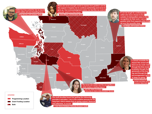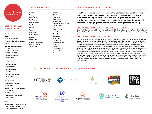

## **2019 ARTIST TRUST STAFF & INTERNS**

#### **OPERATIONS**

**CEO** Shannon Halberstadt

**Finance & Operations Manager** Gems

**Communications Manager** Erika Enomoto Salena Hill (temporary) Elizabeth Thompson

**Operations Coordinator** Luther Hughes

**PROGRAMS**

**Program Director** Brian McGuigan

**Program Manager** Lydia Boss

**Program Coordinator** Zach Frimmel

### **DEVELOPMENT**

**Development Director** Kristina Goetz

**Annual Fund & Events Manager** Emily Dennis Justine Deacon

**Development Coordinator** Nadia Ahmed

## **INTERNS**

Anna Dawson; Gina Dodge; Maria Durish; Zoë Guckenheimer; Cecilia Karoly-Lister; Grace Nakahara

## **2019 BOARD MEMBERS**

**OFFICERS President**  Sarah Traver **Vice President** Cezanne Garcia **Vice President** Mark Olthoff **Treasurer** Byron Olson Nicole Stellner **Secretary** Nancy Chang

**Executive Committee Member At-Large** Chris Abrass

## **CAMPAIGN FOR A CREATIVE FUTURE**

## **MEMBERS**

Will Chapman Katie Creyts Allison Eltrich Anthony Gipe Heather Joy Helbach Olds Zabrina Jenkins Kurt Kiefer Brooke Kiener Michael Lane Gar LaSalle Mariella Luz James Miles Ben Stuckart Subhadra Terhanian Tanya Trejo Robert Tull Lorraine Vagner Emily Washines Gerard Zytnicki

**In 2019 we continued to grow support for the Campaign for a Creative Future, reaching 75% of our \$3.5 million goal. This effort to raise capital and invest in sustained funding for artists will ensure that our grant and professional development programs continue as a resource for generations. To support this important Campaign, please contact Kristina Goetz, [goetz@artisttrust.org.](mailto:goetz%40artisttrust.org?subject=Campaign%20for%20a%20Creative%20Future)**

## **CAMPAIGN FOR CREATIVE FUTURE LEADERSHIP CIRCLE (\$100,000+)**

Shari & John Behnke, Michael & Cathy Casteel, Stephanie Ellis-Smith & Douglas Smith, Robert E. Frey, Gar and Barbara LaSalle, Christopher & Alida Latham, Len Lewicki, Raynier Institute & Foundation, Jon and Mary Shirley Foundation

## **CAMPAIGN FOR CREATIVE FUTURE DONORS**

Christine & Itamar Abrass, Peter Ackroyd & Joan Alworth, Perry & Christine Atkins, Greg & Ronna Bell, Dennis Braddock & Janice Niemi, Scot & Susan Bradley, Nancy Chang, Valerie Collymore, Juli Cook, Allison Eltrich, Susan Ephron, Donald & Alison Farmer, Bruce Funkhouser & Michelle Friars, Helen Gamble, Cezanne Garcia & David Grossman, Karen Guzak, Mark Haley & Michaela Clancy, Joyce Halldorson, Dick & Betty Hedreen, Heather Helbach-Olds & Matthew Olds, Zabrina Jenkins, Kyle Johnson, Kurt Kiefer & Mary Williamson, Kevin & Motomi Kudo-King, The Klorfine Foundation, Michael Lane & Paul D. McKee, Marge Levy & Larry Lancaster, Barbara Lockwood, Mariella Luz & Michael Elvin, Roger & Nancy MacPherson, Nance Myers, Claire Molesworth, Quinton Morris, Byron & Phillis Olson, Mark Olthoff & Brett Arrington, Roy H. & Natalie C. Roberts Family Foundation, Lillian and Doug Ryan, Cathy Sarkowsky, Faye Sarkowsky, Pablo Schugurensky & Renata Tatman, Earl & Charyl Kay Sedlik, Preston Singletary & Asa Sandlund, David & Catherine Eaton Skinner, Nicole Stellner & Peter Eberhardy, Paula Stokes & John Sullivan, Ben & Ann Stuckart, Sarah Traver, Tanya Trejo, Robert & Betty Tull, Lorraine Vagner, Susan Wagner, The Walker Family Foundation,Bryan Webster, Randy White & Melinda Luke-White

## **SPECIAL THANKS TO OUR 2019 FUNDING & PROGRAM PARTNERS**

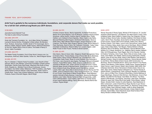**Artist Trust is grateful to the numerous individuals, foundations, and corporate donors that make our work possible. For a full list visit: [artisttrust.org/thank-you-2019-donors](http://www.artisttrust.org/thank-you-2019-donors).**

#### **\$100,000+**

Jeannette Kozicki Manhoff Trust The Dale & Leslie Chihuly Foundation

#### **\$25,000–\$99,999**

Emily Hall Tremaine Foundation, Inc., Jon & Mary Shirley Foundation, Leonard & Norma Klorfine, Christopher & Alida Latham, MJ Murdock Trust, 4Culture, Anonymous, ArtsWA, Sarah & Tim Cavanaugh, Gar & Barbara LaSalle, Katharyn Gerlich, Mattie Iverson, National Endowment for the Arts, Seattle Office of Arts & Culture, The Estate of Nancy D. Alvord, Vadon Foundation

#### **\$10,000–\$24,999**

The Walker Family Foundation, Eve & Chap Alvord, Amazon.com, Inc., Anonymous, ArtsFund, Helen Gamble, Vulcan Inc., Merrill Wagner Ryman

#### **\$5,000–\$9,999**

Roy H. & Natalie C. Roberts Family Foundation, Joan Alworth & Peter Ackroyd, Shari & John Behnke, Community Foundation of North Central Washington, Deirdre Doyle Real Estate, Stephanie Ellis-Smith & Doug Smith, Expedia Inc., Michelle Friars & Bruce Funkhouser, Innovia Foundation, Kurt Kiefer & Mary Williamson, TEW Foundation, Judy Pigott, Becky Roberts & Dennis Oldroyd, Cathy Sarkowsky, Sarah Traver & Charlie Rush, Tanya Trejo & Keane Watterson, Uncle Harry's Natural Products, Susan & Kenneth Wagner, Merrill Wright

#### **\$2,500–\$4,999**

Christine & Itamar Abrass, Merrily Applewhite, Art Market Productions, Marilyn Dix & David Ragozin, Frye Art Museum, Cezanne Garcia & David Grossman, Jeffrey Gerson, Anthony Gipe & Yoshiteru Kinjo, Phyllis Hatfield, Lynn Hubbard & David Zapolsky, Allison Hyde & Jake Nellis, Microsoft Matching Gifts Program, Northwest Polite Society, Byron & Phillis Olson, Mark Olthoff & Brett Arrington, Suman Paranjape & Will Chapman, Paul Rucker, Mary Snapp & Spencer Frazer, Nicole Stellner & Peter Eberhardy, David & Dana Taft, Subhadra Terhanian, Tulalip Tribes Charitable Contributions, Robert & Betty Tull, Lorraine Vagner, Juliet Waller Pruzan & Alan Pruzan, Pamela & Gerard Zytnicki

#### **\$1,000–\$2,499**

Edie Adams, Steve & Karen Adler, Allegiance Wealth Management, Perry & Christine Atkins, Thomas Bayley, Greg & Ronna Bell, Becky Benaroya, Kellie Carlson, Nancy Chang & Markham Lee, Columbia Bank, Dow Constantine, Katie Creyts, Susan & Lonnie Edelheit, Cora Edmonds & Phil Crean, Jerry Everard & Jane Kaplan, Pat Haase, Richard & Elizabeth Hedreen, Foster/White Gallery, Reilly Jensen & Judith Meleliat, Dan Jiyamapa & Michelle Jack, Josiah Johnson & Chase O'Connor, Franny Ketcham Mead, Brooke & Marshall Kiener, Greg Kucera & Larry Yocom, Kevin & Motomi Kudo-King, Michael Lane & Paul McKee, Leonard Lewicki, Mark Light, Nancy Mee & Dennis Evans, Kirsten Murray and Tim Griffith, James & Katherine Olson, Olson Kundig Architects, Inc., Herbert & Lucy Pruzan, Doug Reston & Missy Ponder-Reston, Greg Robinson, Jackson Schmidt & Kathy Bremner, Linda Stone, Wenona and Brereton Strafford, Jane Talbot, Renata Tatman & Pablo Schugurensky, Judith Tobin & Michael Baker, Traver Gallery, Gail Gibson & Claudia Vernia, Ernest Vogel & Barbara Billings, Nancy Weintraub, Marsha Wolf & Ken Linkhart, Virginia Wright

## **\$250–\$999**

Wendy Alexander & Randy Ogata, Michele & Phil Anderson, Dr. Jennifer Andrews & Brett Swenson, Lara Behnert, Don Bell & Karen Lorene, Chris & Melissa Cable, Diane Caillier &, Clayton King, Fay Chapman, Chihuly Garden & Glass, Donna Cutler, Davidson Galleries, Clint Diener & Diane Lasko, Dino's Pizza, DocuSign, Susan Ephron & Randy Daniels, Season & Aaron Evans, Carole Fuller & Evan Schwab, Gallery One, Wood & Graham Graham, Vicki Halper, Laura & John Hammarlund, James Heath, Henry Art Gallery, Betsy Jewett, Sara Lane & Rod Boyer, Micki & William Lippe, Holly & Steve Martz, Terri Maupin, Fidelma McGinn & Randy Rossland, Nina & Pat McKay, David Mendoza, Samuel Mitchell & Sam Whiting, W. R. Nickel, Nordstrom, Inc., Matthew Olds & Heather Helbach-Olds, Lyll O'Shaughnessy, Paula Riggert, Ben & Ann Stuckart, Haridas & Charlene Terhanian, Anne Traver, Marta Trilles & Carlos Avello, Linda Vivas, Carol Walton, Erin Weible, Patricia & Doug Zuberbuhler, Pamela Abbott, Lacey All and Amy White, Robyn & Bob Bayless, Kate Becker & Michael Compton, Robert & Katherine Bellmore, Victoria Bennett, Walter & Julie Bivins, Warner Blake & Karen Guzak, BOA Construction, CJ Brockway, Steven & Elizabeth Brown, Nancy Carrs Roach & Tom Roach, Valerie Curtis-Newton, Dottie Delaney, Vasiliki Dwyer, Augusta Sparks & Dylan Farnum, Leigh Fulwood, Gilead, Gene Graham, Mark Griffin, Ron & Barbara Hammond, Simon Henneman & Kristina Goetz, Drew & Lily Hilen, Sibyl James, Robert Kaplan & Margaret Levi, Thomas Kenney & Eliaichi Kimaro, Lockhart/Suver, Ruth Lockwood, Mariella Luz & Michael Elvin, Julie Ly & Mike Pinto, Christina & Brad Mace, Kristine Matthews & Angus MacGregor, Shawna & Nick McCann, Deb Mcfarlane, Anna & Paul McKee, Guy Merrill & Kira Burge, Carol Milne, Erin Moore, Troy Ness, Kyleen & Will Niccolls, Liza Rognas, Vicki Ross, Lillian Ryan, Samantha Scherer & Jason Huff, Charyl Kay & Earl Sedlik, Chloe Sherpe, Juliana Sloper, Zenaida Smith, Carolyn & Leslie Stephens, Neal Stephenson & Ellen Lackermann, Linda & David Strout, Roger Stuckly & Juan Alonso-Rodriguez, Michael Tobiason & Joann Reiter, Dr. Raymond Tymas-Jones, Carmen Valdes, Kate & Michael Vaughn, Judith & James Wagonfeld, Fletch Waller, Kristen Webb & David Schooler, Kristen Webb & David, Schooler, Sarah Wilke, Cheryl Woodruff, Susan Woolf & Steve Price, Nancy Worden & William Reed, Diana Xin